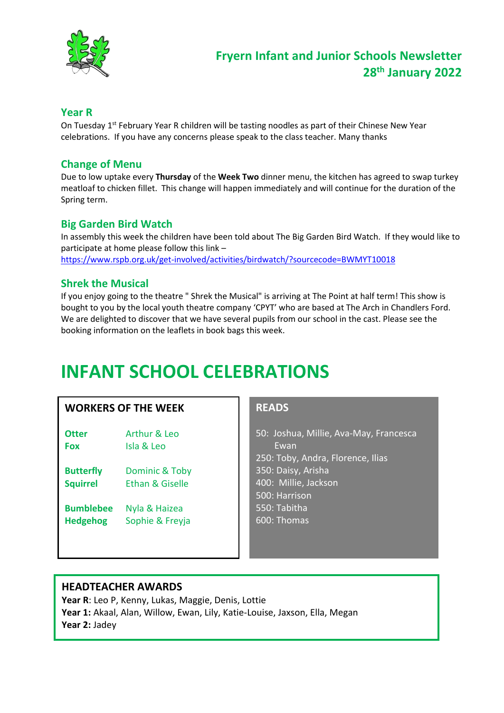

#### **Year R**

On Tuesday 1<sup>st</sup> February Year R children will be tasting noodles as part of their Chinese New Year celebrations. If you have any concerns please speak to the class teacher. Many thanks

#### **Change of Menu**

Due to low uptake every **Thursday** of the **Week Two** dinner menu, the kitchen has agreed to swap turkey meatloaf to chicken fillet. This change will happen immediately and will continue for the duration of the Spring term.

#### **Big Garden Bird Watch**

In assembly this week the children have been told about The Big Garden Bird Watch. If they would like to participate at home please follow this link – <https://www.rspb.org.uk/get-involved/activities/birdwatch/?sourcecode=BWMYT10018>

#### **Shrek the Musical**

If you enjoy going to the theatre " Shrek the Musical" is arriving at The Point at half term! This show is bought to you by the local youth theatre company 'CPYT' who are based at The Arch in Chandlers Ford. We are delighted to discover that we have several pupils from our school in the cast. Please see the booking information on the leaflets in book bags this week.

## **INFANT SCHOOL CELEBRATIONS**

#### **WORKERS OF THE WEEK**

| Otter | Arthur & Leo |
|-------|--------------|
| Fox   | Isla & Leo   |

- **Butterfly** Dominic & Toby **Squirrel** Ethan & Giselle
- **Bumblebee** Nyla & Haizea **Hedgehog** Sophie & Freyja

#### **READS**

50: Joshua, Millie, Ava-May, Francesca Ewan 250: Toby, Andra, Florence, Ilias 350: Daisy, Arisha 400: Millie, Jackson 500: Harrison 550: Tabitha 600: Thomas

#### **HEADTEACHER AWARDS**

**Year R**: Leo P, Kenny, Lukas, Maggie, Denis, Lottie **Year 1:** Akaal, Alan, Willow, Ewan, Lily, Katie-Louise, Jaxson, Ella, Megan **Year 2:** Jadey